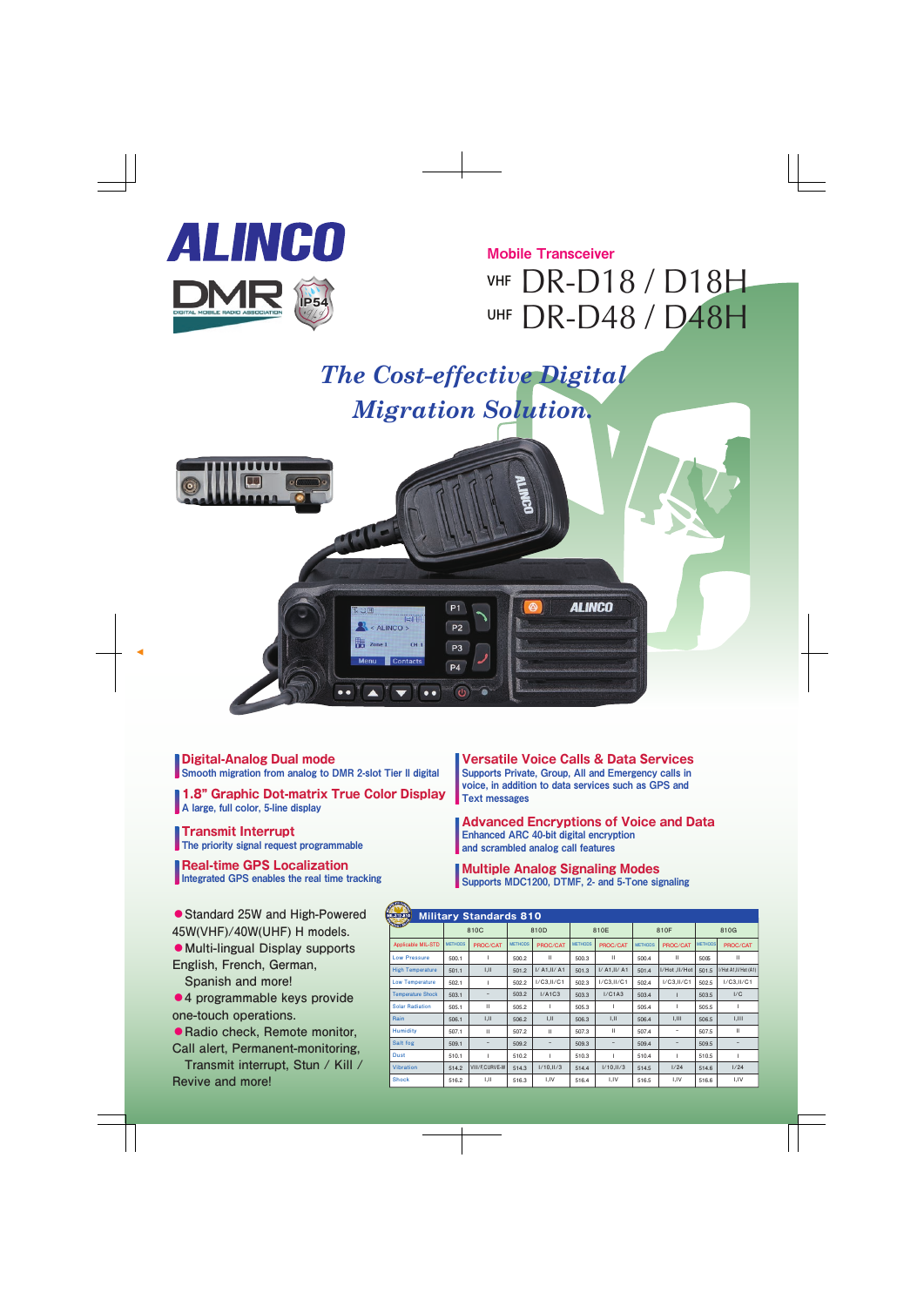

### Mobile Transceiver

# VHF DR-D18 / D18H UHF DR-D48 / D48H

## *The Cost-effective Digital Migration Solution.*



**Digital-Analog Dual mode** Smooth migration from analog to DMR 2-slot Tier II digital

**1.8" Graphic Dot-matrix True Color Display** A large, full color, 5-line display

**Transmit Interrupt** The priority signal request programmable

**Real-time GPS Localization** Integrated GPS enables the real time tracking

**●Standard 25W and High-Powered 45W(VHF)/40W(UHF) H models.**

**●Multi-lingual Display supports English, French, German,** 

 **Spanish and more!**

**●4 programmable keys provide one-touch operations.**

**●Radio check, Remote monitor, Call alert, Permanent-monitoring,** 

 **Transmit interrupt, Stun / Kill / Revive and more!**

**Versatile Voice Calls & Data Services** Supports Private, Group, All and Emergency calls in voice, in addition to data services such as GPS and Text messages

**Advanced Encryptions of Voice and Data** Enhanced ARC 40-bit digital encryption and scrambled analog call features

**Multiple Analog Signaling Modes** Supports MDC1200, DTMF, 2- and 5-Tone signaling

| K<br><b>Military Standards 810</b><br>MILSTD-810 |                |                   |                |               |                |               |                |                          |                |                      |
|--------------------------------------------------|----------------|-------------------|----------------|---------------|----------------|---------------|----------------|--------------------------|----------------|----------------------|
| <b>Quon ISW</b>                                  | 810C           |                   | 810D           |               | 810E           |               | 810F           |                          | 810G           |                      |
| <b>Applicable MIL-STD</b>                        | <b>METHODS</b> | PROC/CAT          | <b>METHODS</b> | PROC/CAT      | <b>METHODS</b> | PROC/CAT      | <b>METHODS</b> | PROC/CAT                 | <b>METHODS</b> | PROC/CAT             |
| <b>Low Pressure</b>                              | 500.1          | ı                 | 500.2          | $\mathbf{H}$  | 500.3          | $\mathbf{H}$  | 500.4          | $\mathbf{H}$             | 5005           | $\mathbf{H}$         |
| <b>High Temperature</b>                          | 501.1          | I,II              | 501.2          | I/ A1, II/ A1 | 501.3          | I/ A1, II/ A1 | 501.4          | I/Hot, II/Hot            | 501.5          | I/Hot A1,II/Hot (A1) |
| <b>Low Temperature</b>                           | 502.1          | ı                 | 502.2          | I/C3,II/C1    | 502.3          | I/C3,II/C1    | 502.4          | I/C3,II/C1               | 502.5          | I/C3,II/C1           |
| <b>Temperature Shock</b>                         | 503.1          | $\qquad \qquad -$ | 503.2          | I/A1C3        | 503.3          | I/C1A3        | 503.4          |                          | 503.5          | 1/C                  |
| <b>Solar Radiation</b>                           | 505.1          | $\mathbf{H}$      | 505.2          | L             | 505.3          | ı             | 505.4          | т                        | 505.5          | L                    |
| Rain                                             | 506.1          | 1,11              | 506.2          | I,II          | 506.3          | I,II          | 506.4          | 1,111                    | 506.5          | 1,111                |
| <b>Humidity</b>                                  | 507.1          | $\mathbf{H}$      | 507.2          | $\mathbf{H}$  | 507.3          | $\mathbf{H}$  | 507.4          | $\overline{\phantom{a}}$ | 507.5          | Ш                    |
| Salt fog                                         | 509.1          | -                 | 509.2          | -             | 509.3          | -             | 509.4          | -                        | 509.5          | $\qquad \qquad -$    |
| <b>Dust</b>                                      | 510.1          | ı                 | 510.2          | т             | 510.3          | ı             | 510.4          | т                        | 510.5          | т                    |
| <b>Vibration</b>                                 | 514.2          | VIII/F,CURVE-W    | 514.3          | I/10,II/3     | 514.4          | 1/10,11/3     | 514.5          | 1/24                     | 514.6          | 1/24                 |
| <b>Shock</b>                                     | 516.2          | 1,11              | 516.3          | I,IV          | 516.4          | I,IV          | 516.5          | I,IV                     | 516.6          | I,IV                 |